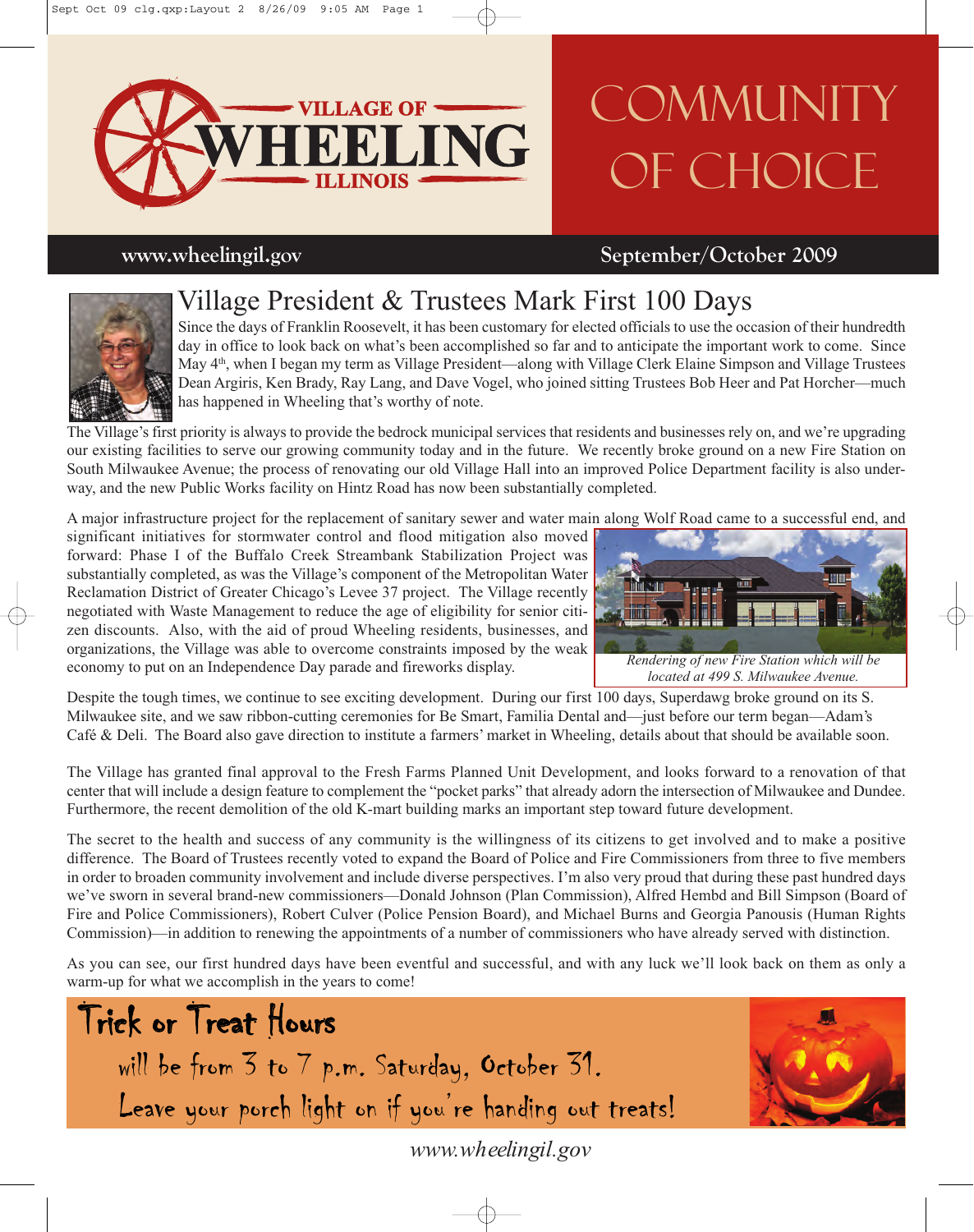

# **COMMUNITY** OF CHOICE

### **www.wheelingil.gov September/October 2009**

## Village President & Trustees Mark First 100 Days

Since the days of Franklin Roosevelt, it has been customary for elected officials to use the occasion of their hundredth day in office to look back on what's been accomplished so far and to anticipate the important work to come. Since May 4<sup>th</sup>, when I began my term as Village President—along with Village Clerk Elaine Simpson and Village Trustees Dean Argiris, Ken Brady, Ray Lang, and Dave Vogel, who joined sitting Trustees Bob Heer and Pat Horcher—much has happened in Wheeling that's worthy of note.

The Village's first priority is always to provide the bedrock municipal services that residents and businesses rely on, and we're upgrading our existing facilities to serve our growing community today and in the future. We recently broke ground on a new Fire Station on South Milwaukee Avenue; the process of renovating our old Village Hall into an improved Police Department facility is also underway, and the new Public Works facility on Hintz Road has now been substantially completed.

A major infrastructure project for the replacement of sanitary sewer and water main along Wolf Road came to a successful end, and

significant initiatives for stormwater control and flood mitigation also moved forward: Phase I of the Buffalo Creek Streambank Stabilization Project was substantially completed, as was the Village's component of the Metropolitan Water Reclamation District of Greater Chicago's Levee 37 project. The Village recently negotiated with Waste Management to reduce the age of eligibility for senior citizen discounts. Also, with the aid of proud Wheeling residents, businesses, and organizations, the Village was able to overcome constraints imposed by the weak economy to put on an Independence Day parade and fireworks display.



Despite the tough times, we continue to see exciting development. During our first 100 days, Superdawg broke ground on its S. Milwaukee site, and we saw ribbon-cutting ceremonies for Be Smart, Familia Dental and—just before our term began—Adam's Café & Deli. The Board also gave direction to institute a farmers' market in Wheeling, details about that should be available soon.

The Village has granted final approval to the Fresh Farms Planned Unit Development, and looks forward to a renovation of that center that will include a design feature to complement the "pocket parks" that already adorn the intersection of Milwaukee and Dundee. Furthermore, the recent demolition of the old K-mart building marks an important step toward future development.

The secret to the health and success of any community is the willingness of its citizens to get involved and to make a positive difference. The Board of Trustees recently voted to expand the Board of Police and Fire Commissioners from three to five members in order to broaden community involvement and include diverse perspectives. I'm also very proud that during these past hundred days we've sworn in several brand-new commissioners—Donald Johnson (Plan Commission), Alfred Hembd and Bill Simpson (Board of Fire and Police Commissioners), Robert Culver (Police Pension Board), and Michael Burns and Georgia Panousis (Human Rights Commission)—in addition to renewing the appointments of a number of commissioners who have already served with distinction.

As you can see, our first hundred days have been eventful and successful, and with any luck we'll look back on them as only a warm-up for what we accomplish in the years to come!





*www.wheelingil.gov*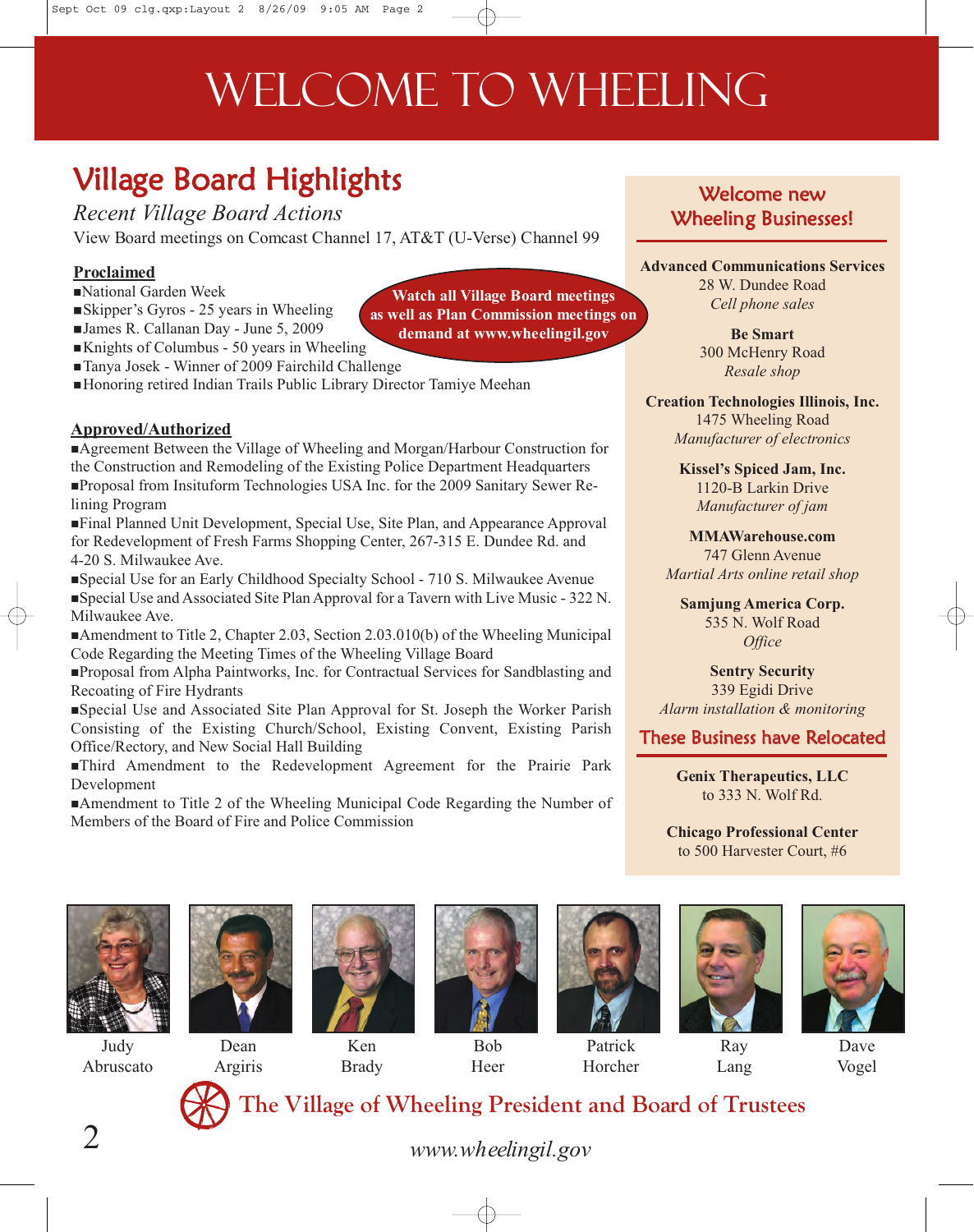# WELCOME TO WHEELING

## Village Board Highlights

*Recent Village Board Actions* View Board meetings on Comcast Channel 17, AT&T (U-Verse) Channel 99

#### **Proclaimed**

- -National Garden Week
- -Skipper's Gyros 25 years in Wheeling
- -James R. Callanan Day June 5, 2009
- Knights of Columbus 50 years in Wheeling
- -Tanya Josek Winner of 2009 Fairchild Challenge
- -Honoring retired Indian Trails Public Library Director Tamiye Meehan

#### **Approved/Authorized**

-Agreement Between the Village of Wheeling and Morgan/Harbour Construction for the Construction and Remodeling of the Existing Police Department Headquarters -Proposal from Insituform Technologies USA Inc. for the 2009 Sanitary Sewer Relining Program

-Final Planned Unit Development, Special Use, Site Plan, and Appearance Approval for Redevelopment of Fresh Farms Shopping Center, 267-315 E. Dundee Rd. and 4-20 S. Milwaukee Ave.

-Special Use for an Early Childhood Specialty School - 710 S. Milwaukee Avenue -Special Use and Associated Site Plan Approval for a Tavern with Live Music - 322 N. Milwaukee Ave.

Amendment to Title 2, Chapter 2.03, Section 2.03.010(b) of the Wheeling Municipal Code Regarding the Meeting Times of the Wheeling Village Board

-Proposal from Alpha Paintworks, Inc. for Contractual Services for Sandblasting and Recoating of Fire Hydrants

-Special Use and Associated Site Plan Approval for St. Joseph the Worker Parish Consisting of the Existing Church/School, Existing Convent, Existing Parish Office/Rectory, and New Social Hall Building

-Third Amendment to the Redevelopment Agreement for the Prairie Park Development

Amendment to Title 2 of the Wheeling Municipal Code Regarding the Number of Members of the Board of Fire and Police Commission

### Welcome new Wheeling Businesses!

**Advanced Communications Services** 28 W. Dundee Road *Cell phone sales*

> **Be Smart** 300 McHenry Road *Resale shop*

**Creation Technologies Illinois, Inc.** 1475 Wheeling Road *Manufacturer of electronics*

> **Kissel's Spiced Jam, Inc.** 1120-B Larkin Drive *Manufacturer of jam*

**MMAWarehouse.com** 747 Glenn Avenue *Martial Arts online retail shop*

**Samjung America Corp.** 535 N. Wolf Road *Office*

**Sentry Security** 339 Egidi Drive *Alarm installation & monitoring*

These Business have Relocated

**Genix Therapeutics, LLC** to 333 N. Wolf Rd.

**Chicago Professional Center** to 500 Harvester Court, #6



Judy Abruscato





Ken Brady



Bob Heer



Patrick Horcher



Lang



Dave Vogel



**The Village of Wheeling President and Board of Trustees** 

*www.wheelingil.gov*

**Watch all Village Board meetings as well as Plan Commission meetings on demand at www.wheelingil.gov**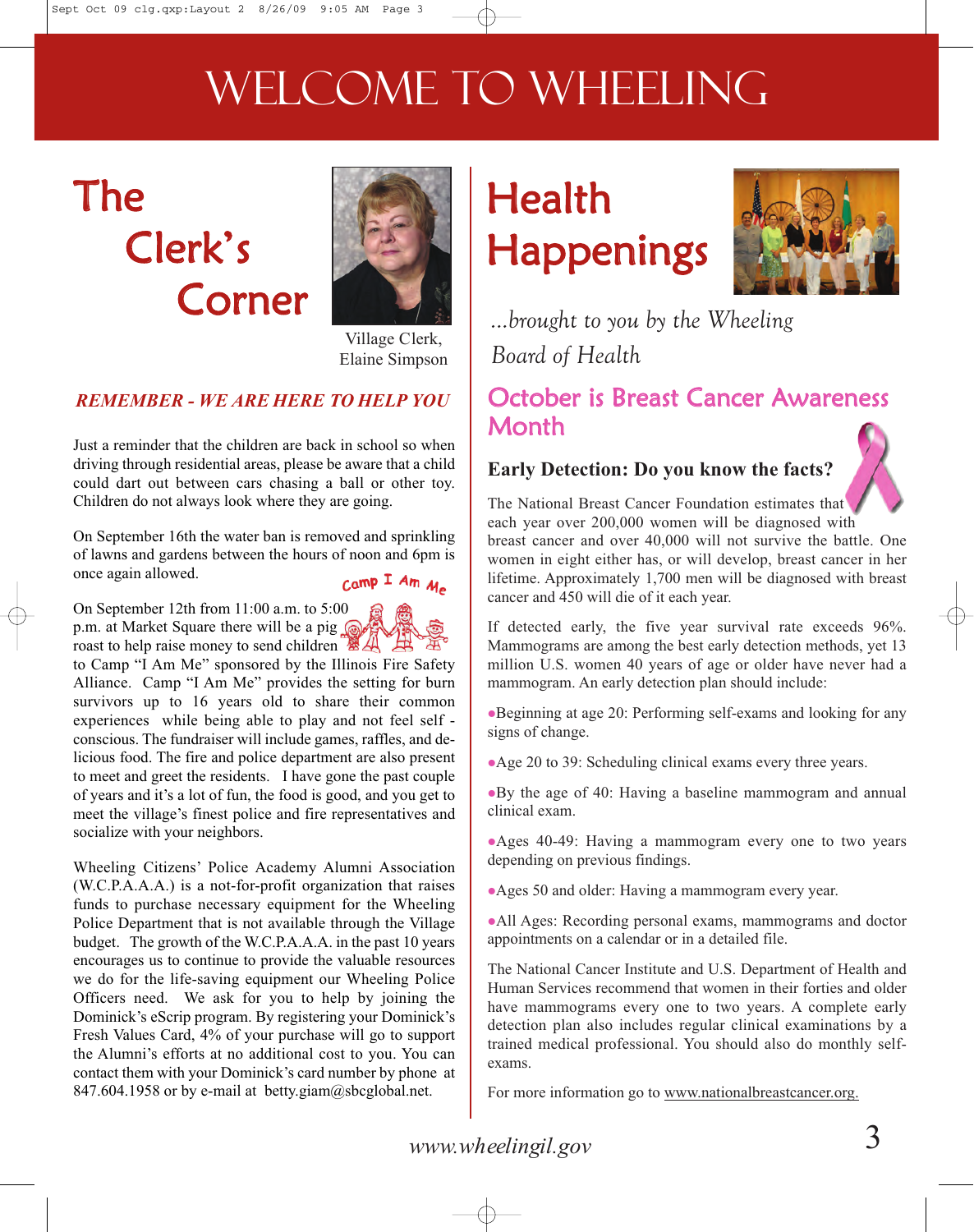# WELCOME TO WHEELING

## The Clerk's Corner



Village Clerk, Elaine Simpson

### *REMEMBER - WE ARE HERE TO HELP YOU*

Just a reminder that the children are back in school so when driving through residential areas, please be aware that a child could dart out between cars chasing a ball or other toy. Children do not always look where they are going.

On September 16th the water ban is removed and sprinkling of lawns and gardens between the hours of noon and 6pm is once again allowed.

 $\mu_{\text{amp}}$  I Am  $\mu_{\text{a}}$ 

On September 12th from 11:00 a.m. to 5:00 p.m. at Market Square there will be a pig roast to help raise money to send children

to Camp "I Am Me" sponsored by the Illinois Fire Safety Alliance. Camp "I Am Me" provides the setting for burn survivors up to 16 years old to share their common experiences while being able to play and not feel self conscious. The fundraiser will include games, raffles, and delicious food. The fire and police department are also present to meet and greet the residents. I have gone the past couple of years and it's a lot of fun, the food is good, and you get to meet the village's finest police and fire representatives and socialize with your neighbors.

Wheeling Citizens' Police Academy Alumni Association (W.C.P.A.A.A.) is a not-for-profit organization that raises funds to purchase necessary equipment for the Wheeling Police Department that is not available through the Village budget. The growth of the W.C.P.A.A.A. in the past 10 years encourages us to continue to provide the valuable resources we do for the life-saving equipment our Wheeling Police Officers need. We ask for you to help by joining the Dominick's eScrip program. By registering your Dominick's Fresh Values Card, 4% of your purchase will go to support the Alumni's efforts at no additional cost to you. You can contact them with your Dominick's card number by phone at 847.604.1958 or by e-mail at betty.giam@sbcglobal.net.

## Health Happenings



*...brought to you by the Wheeling Board of Health*

## October is Breast Cancer Awareness **Month**

### **Early Detection: Do you know the facts?**

The National Breast Cancer Foundation estimates that each year over 200,000 women will be diagnosed with breast cancer and over 40,000 will not survive the battle. One women in eight either has, or will develop, breast cancer in her lifetime. Approximately 1,700 men will be diagnosed with breast cancer and 450 will die of it each year.

If detected early, the five year survival rate exceeds 96%. Mammograms are among the best early detection methods, yet 13 million U.S. women 40 years of age or older have never had a mammogram. An early detection plan should include:

Beginning at age 20: Performing self-exams and looking for any signs of change.

Age 20 to 39: Scheduling clinical exams every three years.

By the age of 40: Having a baseline mammogram and annual clinical exam.

Ages 40-49: Having a mammogram every one to two years depending on previous findings.

Ages 50 and older: Having a mammogram every year.

All Ages: Recording personal exams, mammograms and doctor appointments on a calendar or in a detailed file.

The National Cancer Institute and U.S. Department of Health and Human Services recommend that women in their forties and older have mammograms every one to two years. A complete early detection plan also includes regular clinical examinations by a trained medical professional. You should also do monthly selfexams.

For more information go to www.nationalbreastcancer.org.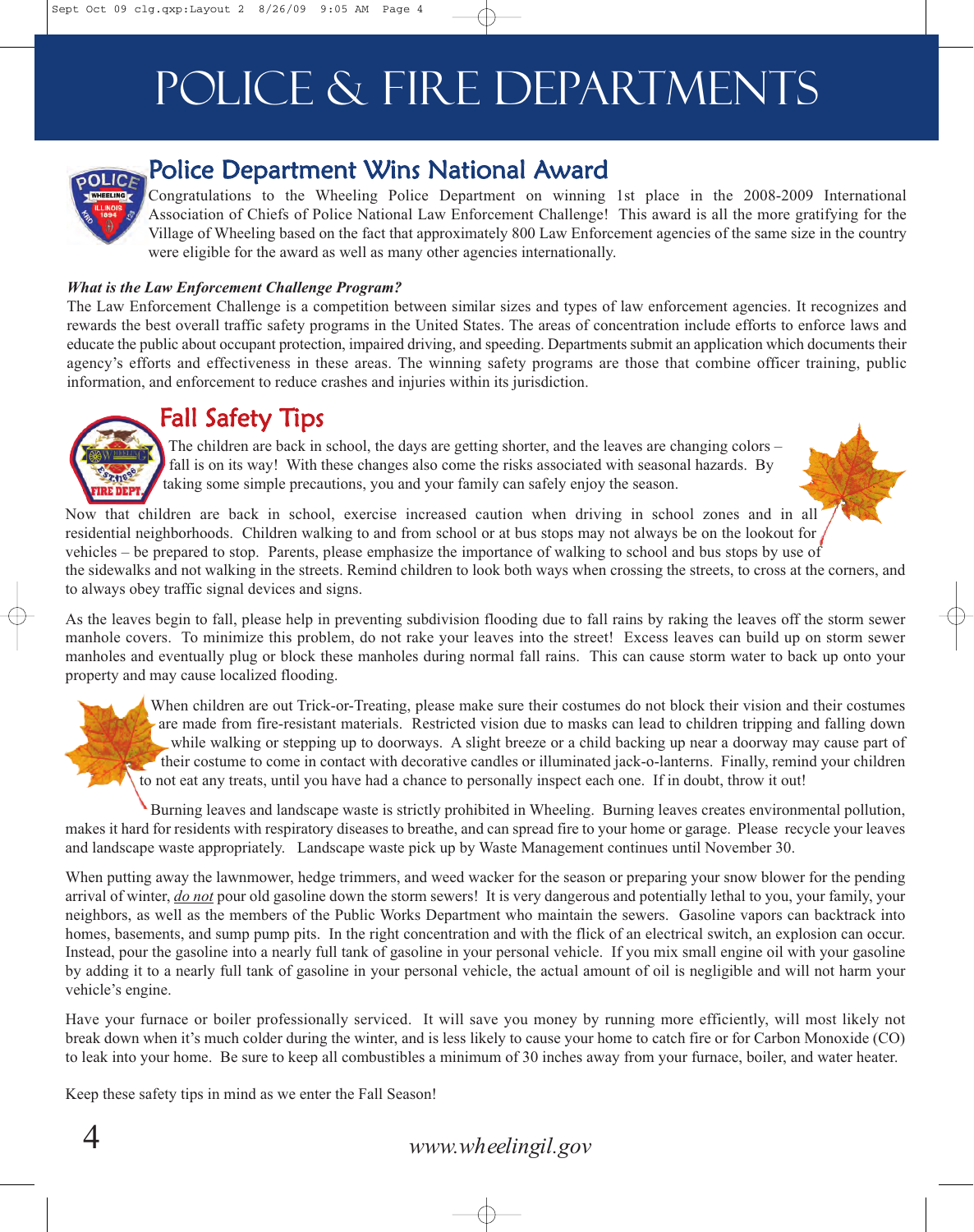# Police & Fire Departments



## Police Department Wins National Award

Congratulations to the Wheeling Police Department on winning 1st place in the 2008-2009 International Association of Chiefs of Police National Law Enforcement Challenge! This award is all the more gratifying for the Village of Wheeling based on the fact that approximately 800 Law Enforcement agencies of the same size in the country were eligible for the award as well as many other agencies internationally.

#### *What is the Law Enforcement Challenge Program?*

The Law Enforcement Challenge is a competition between similar sizes and types of law enforcement agencies. It recognizes and rewards the best overall traffic safety programs in the United States. The areas of concentration include efforts to enforce laws and educate the public about occupant protection, impaired driving, and speeding. Departments submit an application which documents their agency's efforts and effectiveness in these areas. The winning safety programs are those that combine officer training, public information, and enforcement to reduce crashes and injuries within its jurisdiction.

## Fall Safety Tips

The children are back in school, the days are getting shorter, and the leaves are changing colors – fall is on its way! With these changes also come the risks associated with seasonal hazards. By taking some simple precautions, you and your family can safely enjoy the season.



Now that children are back in school, exercise increased caution when driving in school zones and in all residential neighborhoods. Children walking to and from school or at bus stops may not always be on the lookout for vehicles – be prepared to stop. Parents, please emphasize the importance of walking to school and bus stops by use of the sidewalks and not walking in the streets. Remind children to look both ways when crossing the streets, to cross at the corners, and to always obey traffic signal devices and signs.

As the leaves begin to fall, please help in preventing subdivision flooding due to fall rains by raking the leaves off the storm sewer manhole covers. To minimize this problem, do not rake your leaves into the street! Excess leaves can build up on storm sewer manholes and eventually plug or block these manholes during normal fall rains. This can cause storm water to back up onto your property and may cause localized flooding.

When children are out Trick-or-Treating, please make sure their costumes do not block their vision and their costumes are made from fire-resistant materials. Restricted vision due to masks can lead to children tripping and falling down while walking or stepping up to doorways. A slight breeze or a child backing up near a doorway may cause part of their costume to come in contact with decorative candles or illuminated jack-o-lanterns. Finally, remind your children to not eat any treats, until you have had a chance to personally inspect each one. If in doubt, throw it out!

Burning leaves and landscape waste is strictly prohibited in Wheeling. Burning leaves creates environmental pollution, makes it hard for residents with respiratory diseases to breathe, and can spread fire to your home or garage. Please recycle your leaves and landscape waste appropriately. Landscape waste pick up by Waste Management continues until November 30.

When putting away the lawnmower, hedge trimmers, and weed wacker for the season or preparing your snow blower for the pending arrival of winter, *do not* pour old gasoline down the storm sewers! It is very dangerous and potentially lethal to you, your family, your neighbors, as well as the members of the Public Works Department who maintain the sewers. Gasoline vapors can backtrack into homes, basements, and sump pump pits. In the right concentration and with the flick of an electrical switch, an explosion can occur. Instead, pour the gasoline into a nearly full tank of gasoline in your personal vehicle. If you mix small engine oil with your gasoline by adding it to a nearly full tank of gasoline in your personal vehicle, the actual amount of oil is negligible and will not harm your vehicle's engine.

Have your furnace or boiler professionally serviced. It will save you money by running more efficiently, will most likely not break down when it's much colder during the winter, and is less likely to cause your home to catch fire or for Carbon Monoxide (CO) to leak into your home. Be sure to keep all combustibles a minimum of 30 inches away from your furnace, boiler, and water heater.

Keep these safety tips in mind as we enter the Fall Season!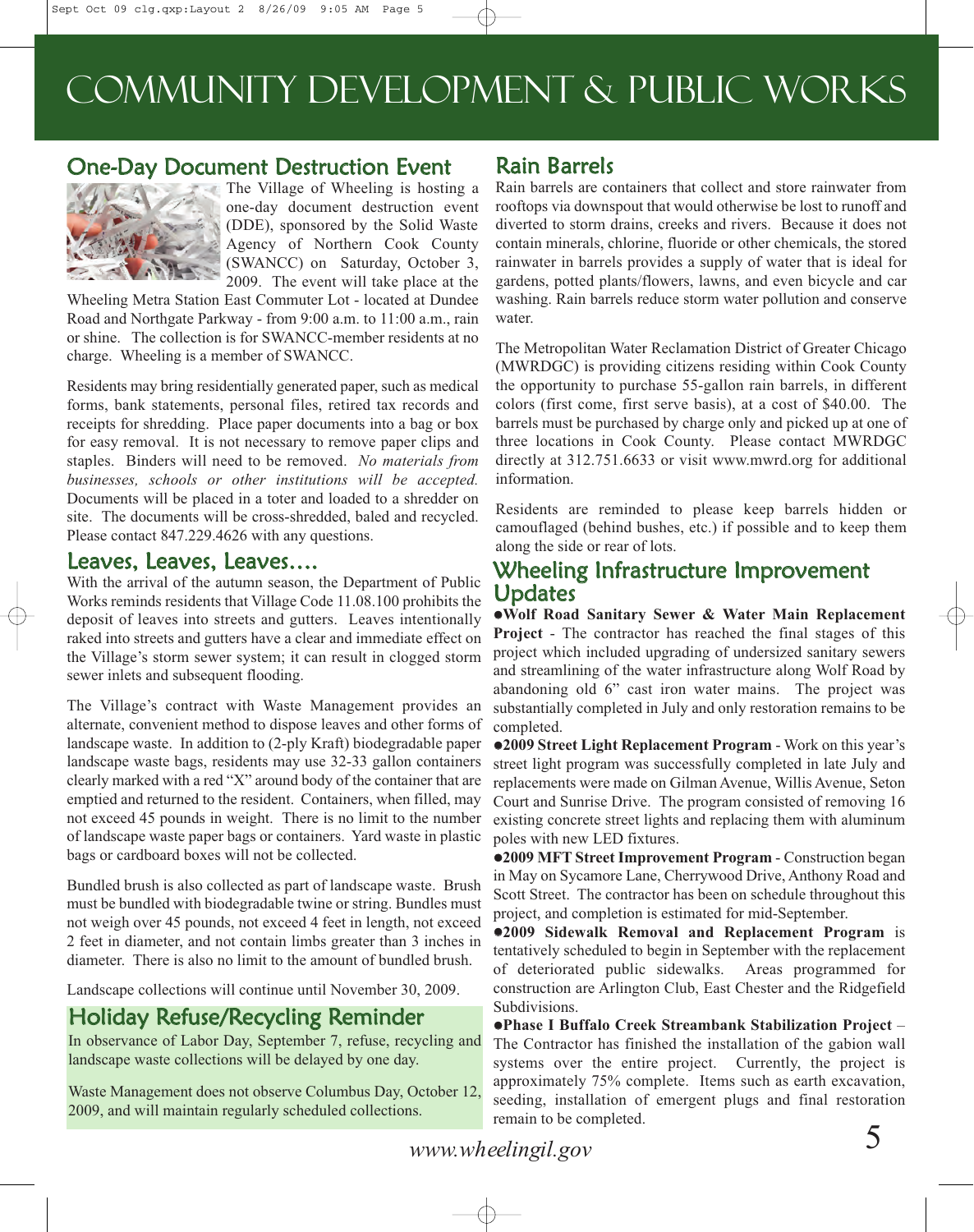## Community Development & Public Works

### One-Day Document Destruction Event



The Village of Wheeling is hosting a one-day document destruction event (DDE), sponsored by the Solid Waste Agency of Northern Cook County (SWANCC) on Saturday, October 3, 2009. The event will take place at the

Wheeling Metra Station East Commuter Lot - located at Dundee Road and Northgate Parkway - from 9:00 a.m. to 11:00 a.m., rain or shine. The collection is for SWANCC-member residents at no charge. Wheeling is a member of SWANCC.

Residents may bring residentially generated paper, such as medical forms, bank statements, personal files, retired tax records and receipts for shredding. Place paper documents into a bag or box for easy removal. It is not necessary to remove paper clips and staples. Binders will need to be removed. *No materials from businesses, schools or other institutions will be accepted.* Documents will be placed in a toter and loaded to a shredder on site. The documents will be cross-shredded, baled and recycled. Please contact 847.229.4626 with any questions.

#### Leaves, Leaves, Leaves….

With the arrival of the autumn season, the Department of Public Works reminds residents that Village Code 11.08.100 prohibits the deposit of leaves into streets and gutters. Leaves intentionally raked into streets and gutters have a clear and immediate effect on the Village's storm sewer system; it can result in clogged storm sewer inlets and subsequent flooding.

The Village's contract with Waste Management provides an alternate, convenient method to dispose leaves and other forms of landscape waste. In addition to (2-ply Kraft) biodegradable paper landscape waste bags, residents may use 32-33 gallon containers clearly marked with a red "X" around body of the container that are emptied and returned to the resident. Containers, when filled, may not exceed 45 pounds in weight. There is no limit to the number of landscape waste paper bags or containers. Yard waste in plastic bags or cardboard boxes will not be collected.

Bundled brush is also collected as part of landscape waste. Brush must be bundled with biodegradable twine or string. Bundles must not weigh over 45 pounds, not exceed 4 feet in length, not exceed 2 feet in diameter, and not contain limbs greater than 3 inches in diameter. There is also no limit to the amount of bundled brush.

Landscape collections will continue until November 30, 2009.

## Holiday Refuse/Recycling Reminder

In observance of Labor Day, September 7, refuse, recycling and landscape waste collections will be delayed by one day.

Waste Management does not observe Columbus Day, October 12, 2009, and will maintain regularly scheduled collections.

## Rain Barrels

Rain barrels are containers that collect and store rainwater from rooftops via downspout that would otherwise be lost to runoff and diverted to storm drains, creeks and rivers. Because it does not contain minerals, chlorine, fluoride or other chemicals, the stored rainwater in barrels provides a supply of water that is ideal for gardens, potted plants/flowers, lawns, and even bicycle and car washing. Rain barrels reduce storm water pollution and conserve water.

The Metropolitan Water Reclamation District of Greater Chicago (MWRDGC) is providing citizens residing within Cook County the opportunity to purchase 55-gallon rain barrels, in different colors (first come, first serve basis), at a cost of \$40.00. The barrels must be purchased by charge only and picked up at one of three locations in Cook County. Please contact MWRDGC directly at 312.751.6633 or visit www.mwrd.org for additional information.

Residents are reminded to please keep barrels hidden or camouflaged (behind bushes, etc.) if possible and to keep them along the side or rear of lots.

### Wheeling Infrastructure Improvement **Updates**

**Wolf Road Sanitary Sewer & Water Main Replacement Project** - The contractor has reached the final stages of this project which included upgrading of undersized sanitary sewers and streamlining of the water infrastructure along Wolf Road by abandoning old 6" cast iron water mains. The project was substantially completed in July and only restoration remains to be completed.

**2009 Street Light Replacement Program** - Work on this year's street light program was successfully completed in late July and replacements were made on Gilman Avenue, Willis Avenue, Seton Court and Sunrise Drive. The program consisted of removing 16 existing concrete street lights and replacing them with aluminum poles with new LED fixtures.

**2009 MFT Street Improvement Program** - Construction began in May on Sycamore Lane, Cherrywood Drive, Anthony Road and Scott Street. The contractor has been on schedule throughout this project, and completion is estimated for mid-September.

**2009 Sidewalk Removal and Replacement Program** is tentatively scheduled to begin in September with the replacement of deteriorated public sidewalks. Areas programmed for construction are Arlington Club, East Chester and the Ridgefield Subdivisions.

**Phase I Buffalo Creek Streambank Stabilization Project** – The Contractor has finished the installation of the gabion wall systems over the entire project. Currently, the project is approximately 75% complete. Items such as earth excavation, seeding, installation of emergent plugs and final restoration remain to be completed.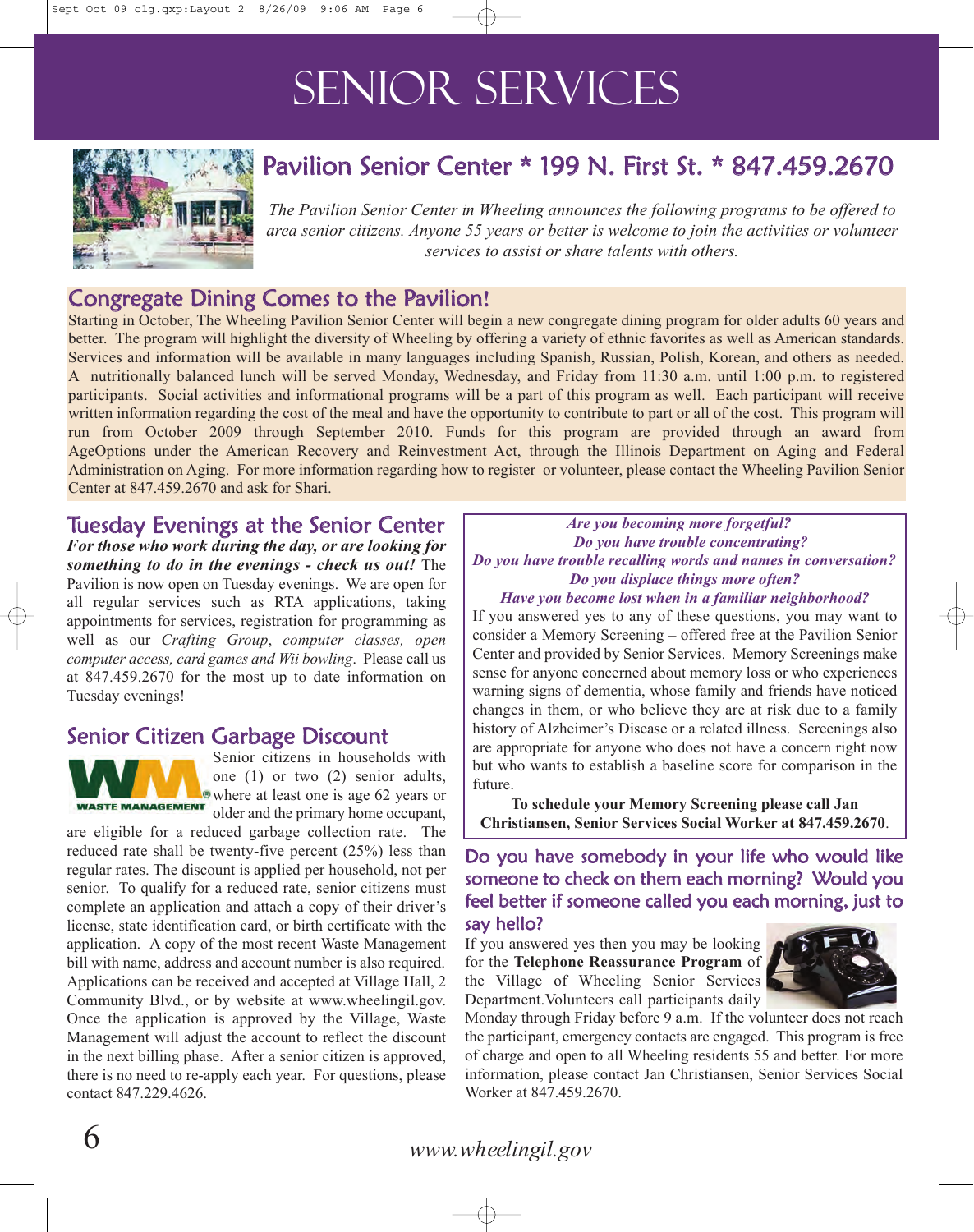# SENIOR SERVICES



## Pavilion Senior Center \* 199 N. First St. \* 847.459.2670

*The Pavilion Senior Center in Wheeling announces the following programs to be offered to area senior citizens. Anyone 55 years or better is welcome to join the activities or volunteer services to assist or share talents with others.*

## Congregate Dining Comes to the Pavilion**!**

Starting in October, The Wheeling Pavilion Senior Center will begin a new congregate dining program for older adults 60 years and better. The program will highlight the diversity of Wheeling by offering a variety of ethnic favorites as well as American standards. Services and information will be available in many languages including Spanish, Russian, Polish, Korean, and others as needed. A nutritionally balanced lunch will be served Monday, Wednesday, and Friday from 11:30 a.m. until 1:00 p.m. to registered participants. Social activities and informational programs will be a part of this program as well. Each participant will receive written information regarding the cost of the meal and have the opportunity to contribute to part or all of the cost. This program will run from October 2009 through September 2010. Funds for this program are provided through an award from AgeOptions under the American Recovery and Reinvestment Act, through the Illinois Department on Aging and Federal Administration on Aging. For more information regarding how to register or volunteer, please contact the Wheeling Pavilion Senior Center at 847.459.2670 and ask for Shari.

### Tuesday Evenings at the Senior Center

*For those who work during the day, or are looking for something to do in the evenings - check us out!* The Pavilion is now open on Tuesday evenings. We are open for all regular services such as RTA applications, taking appointments for services, registration for programming as well as our *Crafting Group*, *computer classes, open computer access, card games and Wii bowling*. Please call us at 847.459.2670 for the most up to date information on Tuesday evenings!

### Senior Citizen Garbage Discount



Senior citizens in households with one (1) or two (2) senior adults, where at least one is age 62 years or older and the primary home occupant,

are eligible for a reduced garbage collection rate. The reduced rate shall be twenty-five percent (25%) less than regular rates. The discount is applied per household, not per senior. To qualify for a reduced rate, senior citizens must complete an application and attach a copy of their driver's license, state identification card, or birth certificate with the application. A copy of the most recent Waste Management bill with name, address and account number is also required. Applications can be received and accepted at Village Hall, 2 Community Blvd., or by website at www.wheelingil.gov. Once the application is approved by the Village, Waste Management will adjust the account to reflect the discount in the next billing phase. After a senior citizen is approved, there is no need to re-apply each year. For questions, please contact 847.229.4626.

#### *Are you becoming more forgetful? Do you have trouble concentrating? Do you have trouble recalling words and names in conversation? Do you displace things more often?*

#### *Have you become lost when in a familiar neighborhood?*

If you answered yes to any of these questions, you may want to consider a Memory Screening – offered free at the Pavilion Senior Center and provided by Senior Services. Memory Screenings make sense for anyone concerned about memory loss or who experiences warning signs of dementia, whose family and friends have noticed changes in them, or who believe they are at risk due to a family history of Alzheimer's Disease or a related illness. Screenings also are appropriate for anyone who does not have a concern right now but who wants to establish a baseline score for comparison in the future.

**To schedule your Memory Screening please call Jan Christiansen, Senior Services Social Worker at 847.459.2670**.

Do you have somebody in your life who would like someone to check on them each morning? Would you feel better if someone called you each morning, just to say hello?

If you answered yes then you may be looking for the **Telephone Reassurance Program** of the Village of Wheeling Senior Services Department.Volunteers call participants daily



Monday through Friday before 9 a.m. If the volunteer does not reach the participant, emergency contacts are engaged. This program is free of charge and open to all Wheeling residents 55 and better. For more information, please contact Jan Christiansen, Senior Services Social Worker at 847.459.2670.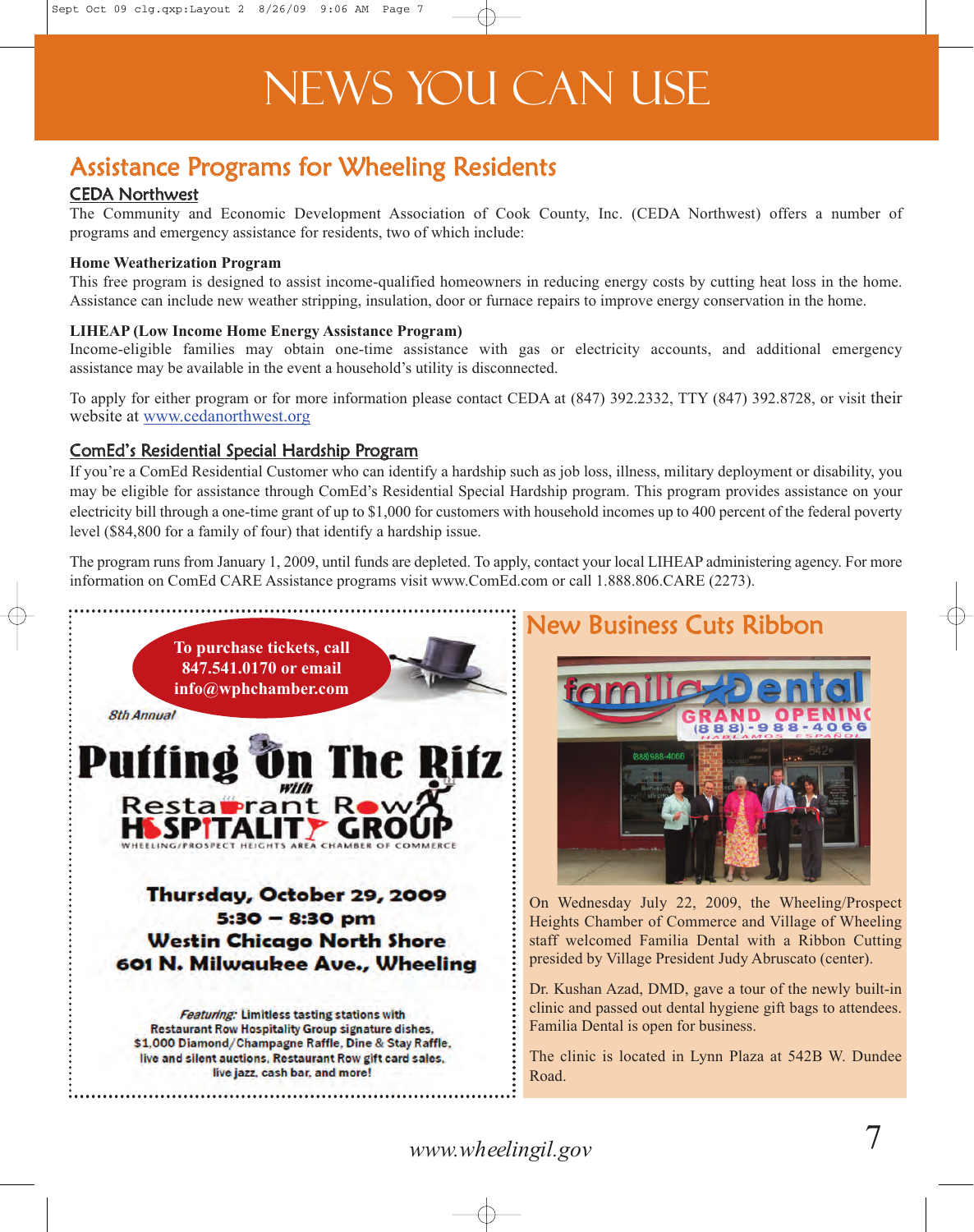# News You Can Use

## Assistance Programs for Wheeling Residents

### CEDA Northwest

The Community and Economic Development Association of Cook County, Inc. (CEDA Northwest) offers a number of programs and emergency assistance for residents, two of which include:

#### **Home Weatherization Program**

This free program is designed to assist income-qualified homeowners in reducing energy costs by cutting heat loss in the home. Assistance can include new weather stripping, insulation, door or furnace repairs to improve energy conservation in the home.

#### **LIHEAP (Low Income Home Energy Assistance Program)**

Income-eligible families may obtain one-time assistance with gas or electricity accounts, and additional emergency assistance may be available in the event a household's utility is disconnected.

To apply for either program or for more information please contact CEDA at (847) 392.2332, TTY (847) 392.8728, or visit their website at www.cedanorthwest.org

#### ComEd's Residential Special Hardship Program

If you're a ComEd Residential Customer who can identify a hardship such as job loss, illness, military deployment or disability, you may be eligible for assistance through ComEd's Residential Special Hardship program. This program provides assistance on your electricity bill through a one-time grant of up to \$1,000 for customers with household incomes up to 400 percent of the federal poverty level (\$84,800 for a family of four) that identify a hardship issue.

The program runs from January 1, 2009, until funds are depleted. To apply, contact your local LIHEAP administering agency. For more information on ComEd CARE Assistance programs visit www.ComEd.com or call 1.888.806.CARE (2273).



## New Business Cuts Ribbon



On Wednesday July 22, 2009, the Wheeling/Prospect Heights Chamber of Commerce and Village of Wheeling staff welcomed Familia Dental with a Ribbon Cutting presided by Village President Judy Abruscato (center).

Dr. Kushan Azad, DMD, gave a tour of the newly built-in clinic and passed out dental hygiene gift bags to attendees. Familia Dental is open for business.

The clinic is located in Lynn Plaza at 542B W. Dundee Road.

*www.wheelingil.gov* 7